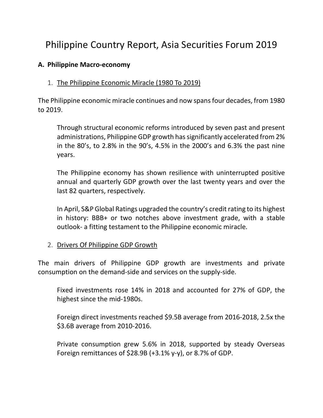# Philippine Country Report, Asia Securities Forum 2019

### **A. Philippine Macro-economy**

### 1. The Philippine Economic Miracle (1980 To 2019)

The Philippine economic miracle continues and now spans four decades, from 1980 to 2019.

Through structural economic reforms introduced by seven past and present administrations, Philippine GDP growth has significantly accelerated from 2% in the 80's, to 2.8% in the 90's, 4.5% in the 2000's and 6.3% the past nine years.

The Philippine economy has shown resilience with uninterrupted positive annual and quarterly GDP growth over the last twenty years and over the last 82 quarters, respectively.

In April, S&P Global Ratings upgraded the country's credit rating to its highest in history: BBB+ or two notches above investment grade, with a stable outlook- a fitting testament to the Philippine economic miracle.

### 2. Drivers Of Philippine GDP Growth

The main drivers of Philippine GDP growth are investments and private consumption on the demand-side and services on the supply-side.

Fixed investments rose 14% in 2018 and accounted for 27% of GDP, the highest since the mid-1980s.

Foreign direct investments reached \$9.5B average from 2016-2018, 2.5x the \$3.6B average from 2010-2016.

Private consumption grew 5.6% in 2018, supported by steady Overseas Foreign remittances of \$28.9B (+3.1% y-y), or 8.7% of GDP.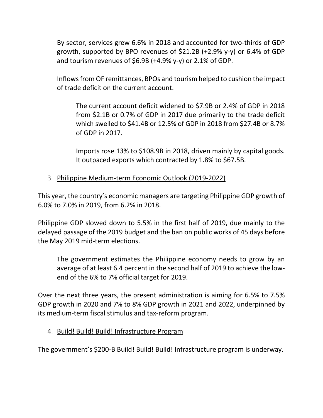By sector, services grew 6.6% in 2018 and accounted for two-thirds of GDP growth, supported by BPO revenues of \$21.2B (+2.9% y-y) or 6.4% of GDP and tourism revenues of  $$6.9B$  (+4.9% y-y) or 2.1% of GDP.

Inflows from OF remittances, BPOs and tourism helped to cushion the impact of trade deficit on the current account.

The current account deficit widened to \$7.9B or 2.4% of GDP in 2018 from \$2.1B or 0.7% of GDP in 2017 due primarily to the trade deficit which swelled to \$41.4B or 12.5% of GDP in 2018 from \$27.4B or 8.7% of GDP in 2017.

Imports rose 13% to \$108.9B in 2018, driven mainly by capital goods. It outpaced exports which contracted by 1.8% to \$67.5B.

# 3. Philippine Medium-term Economic Outlook (2019-2022)

This year, the country's economic managers are targeting Philippine GDP growth of 6.0% to 7.0% in 2019, from 6.2% in 2018.

Philippine GDP slowed down to 5.5% in the first half of 2019, due mainly to the delayed passage of the 2019 budget and the ban on public works of 45 days before the May 2019 mid-term elections.

The government estimates the Philippine economy needs to grow by an average of at least 6.4 percent in the second half of 2019 to achieve the lowend of the 6% to 7% official target for 2019.

Over the next three years, the present administration is aiming for 6.5% to 7.5% GDP growth in 2020 and 7% to 8% GDP growth in 2021 and 2022, underpinned by its medium-term fiscal stimulus and tax-reform program.

### 4. Build! Build! Build! Infrastructure Program

The government's \$200-B Build! Build! Build! Infrastructure program is underway.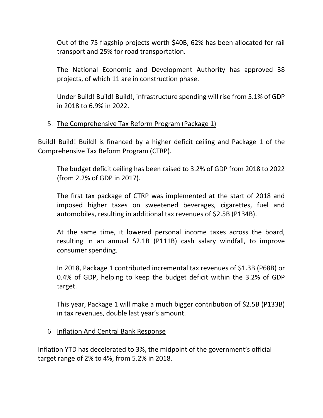Out of the 75 flagship projects worth \$40B, 62% has been allocated for rail transport and 25% for road transportation.

The National Economic and Development Authority has approved 38 projects, of which 11 are in construction phase.

Under Build! Build! Build!, infrastructure spending will rise from 5.1% of GDP in 2018 to 6.9% in 2022.

# 5. The Comprehensive Tax Reform Program (Package 1)

Build! Build! Build! is financed by a higher deficit ceiling and Package 1 of the Comprehensive Tax Reform Program (CTRP).

The budget deficit ceiling has been raised to 3.2% of GDP from 2018 to 2022 (from 2.2% of GDP in 2017).

The first tax package of CTRP was implemented at the start of 2018 and imposed higher taxes on sweetened beverages, cigarettes, fuel and automobiles, resulting in additional tax revenues of \$2.5B (P134B).

At the same time, it lowered personal income taxes across the board, resulting in an annual \$2.1B (P111B) cash salary windfall, to improve consumer spending.

In 2018, Package 1 contributed incremental tax revenues of \$1.3B (P68B) or 0.4% of GDP, helping to keep the budget deficit within the 3.2% of GDP target.

This year, Package 1 will make a much bigger contribution of \$2.5B (P133B) in tax revenues, double last year's amount.

#### 6. Inflation And Central Bank Response

Inflation YTD has decelerated to 3%, the midpoint of the government's official target range of 2% to 4%, from 5.2% in 2018.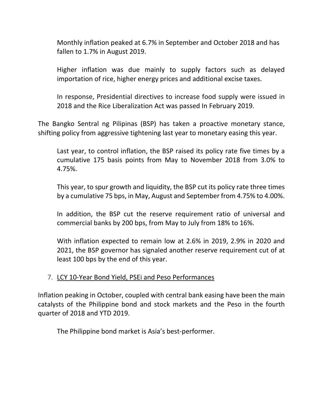Monthly inflation peaked at 6.7% in September and October 2018 and has fallen to 1.7% in August 2019.

Higher inflation was due mainly to supply factors such as delayed importation of rice, higher energy prices and additional excise taxes.

In response, Presidential directives to increase food supply were issued in 2018 and the Rice Liberalization Act was passed In February 2019.

The Bangko Sentral ng Pilipinas (BSP) has taken a proactive monetary stance, shifting policy from aggressive tightening last year to monetary easing this year.

Last year, to control inflation, the BSP raised its policy rate five times by a cumulative 175 basis points from May to November 2018 from 3.0% to 4.75%.

This year, to spur growth and liquidity, the BSP cut its policy rate three times by a cumulative 75 bps, in May, August and September from 4.75% to 4.00%.

In addition, the BSP cut the reserve requirement ratio of universal and commercial banks by 200 bps, from May to July from 18% to 16%.

With inflation expected to remain low at 2.6% in 2019, 2.9% in 2020 and 2021, the BSP governor has signaled another reserve requirement cut of at least 100 bps by the end of this year.

### 7. LCY 10-Year Bond Yield, PSEi and Peso Performances

Inflation peaking in October, coupled with central bank easing have been the main catalysts of the Philippine bond and stock markets and the Peso in the fourth quarter of 2018 and YTD 2019.

The Philippine bond market is Asia's best-performer.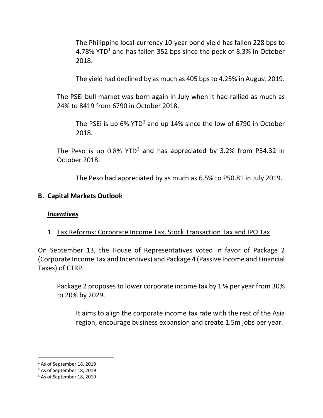The Philippine local-currency 10-year bond yield has fallen 228 bps to 4.78% YTD<sup>[1](#page-4-0)</sup> and has fallen 352 bps since the peak of 8.3% in October 2018.

The yield had declined by as much as 405 bps to 4.25% in August 2019.

The PSEi bull market was born again in July when it had rallied as much as 24% to 8419 from 6790 in October 2018.

The PSEi is up 6% YTD<sup>[2](#page-4-1)</sup> and up 14% since the low of 6790 in October 2018.

The Peso is up  $0.8\%$  YTD<sup>[3](#page-4-2)</sup> and has appreciated by 3.2% from P54.32 in October 2018.

The Peso had appreciated by as much as 6.5% to P50.81 in July 2019.

### **B. Capital Markets Outlook**

### *Incentives*

### 1. Tax Reforms: Corporate Income Tax, Stock Transaction Tax and IPO Tax

On September 13, the House of Representatives voted in favor of Package 2 (Corporate Income Tax and Incentives) and Package 4 (Passive Income and Financial Taxes) of CTRP.

Package 2 proposes to lower corporate income tax by 1 % per year from 30% to 20% by 2029.

It aims to align the corporate income tax rate with the rest of the Asia region, encourage business expansion and create 1.5m jobs per year.

<span id="page-4-0"></span><sup>&</sup>lt;sup>1</sup> As of September 18, 2019

<span id="page-4-1"></span><sup>2</sup> As of September 18, 2019

<span id="page-4-2"></span><sup>&</sup>lt;sup>3</sup> As of September 18, 2019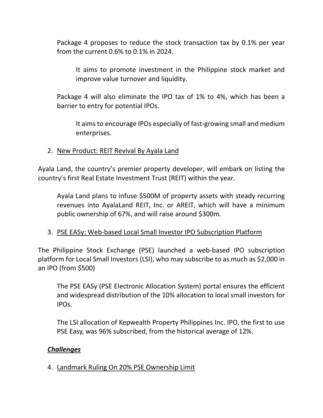Package 4 proposes to reduce the stock transaction tax by 0.1% per year from the current 0.6% to 0.1% in 2024.

It aims to promote investment in the Philippine stock market and improve value turnover and liquidity.

Package 4 will also eliminate the IPO tax of 1% to 4%, which has been a barrier to entry for potential IPOs.

It aims to encourage IPOs especially of fast-growing small and medium enterprises.

#### 2. New Product: REIT Revival By Ayala Land

Ayala Land, the country's premier property developer, will embark on listing the country's first Real Estate Investment Trust (REIT) within the year.

Ayala Land plans to infuse \$500M of property assets with steady recurring revenues into AyalaLand REIT, Inc. or AREIT, which will have a minimum public ownership of 67%, and will raise around \$300m.

### 3. PSE EASy: Web-based Local Small Investor IPO Subscription Platform

The Philippine Stock Exchange (PSE) launched a web-based IPO subscription platform for Local Small Investors (LSI), who may subscribe to as much as \$2,000 in an IPO (from \$500)

The PSE EASy (PSE Electronic Allocation System) portal ensures the efficient and widespread distribution of the 10% allocation to local small investors for IPOs.

The LSI allocation of Kepwealth Property Philippines Inc. IPO, the first to use PSE Easy, was 96% subscribed, from the historical average of 12%.

#### *Challenges*

4. Landmark Ruling On 20% PSE Ownership Limit